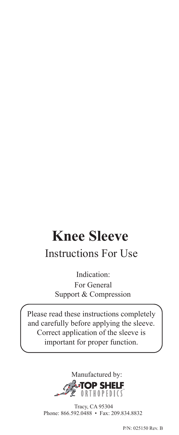# **Knee Sleeve**

# Instructions For Use

 Indication: For General Support & Compression

Please read these instructions completely and carefully before applying the sleeve. Correct application of the sleeve is important for proper function.



 Tracy, CA 95304 Phone: 866.592.0488 • Fax: 209.834.8832